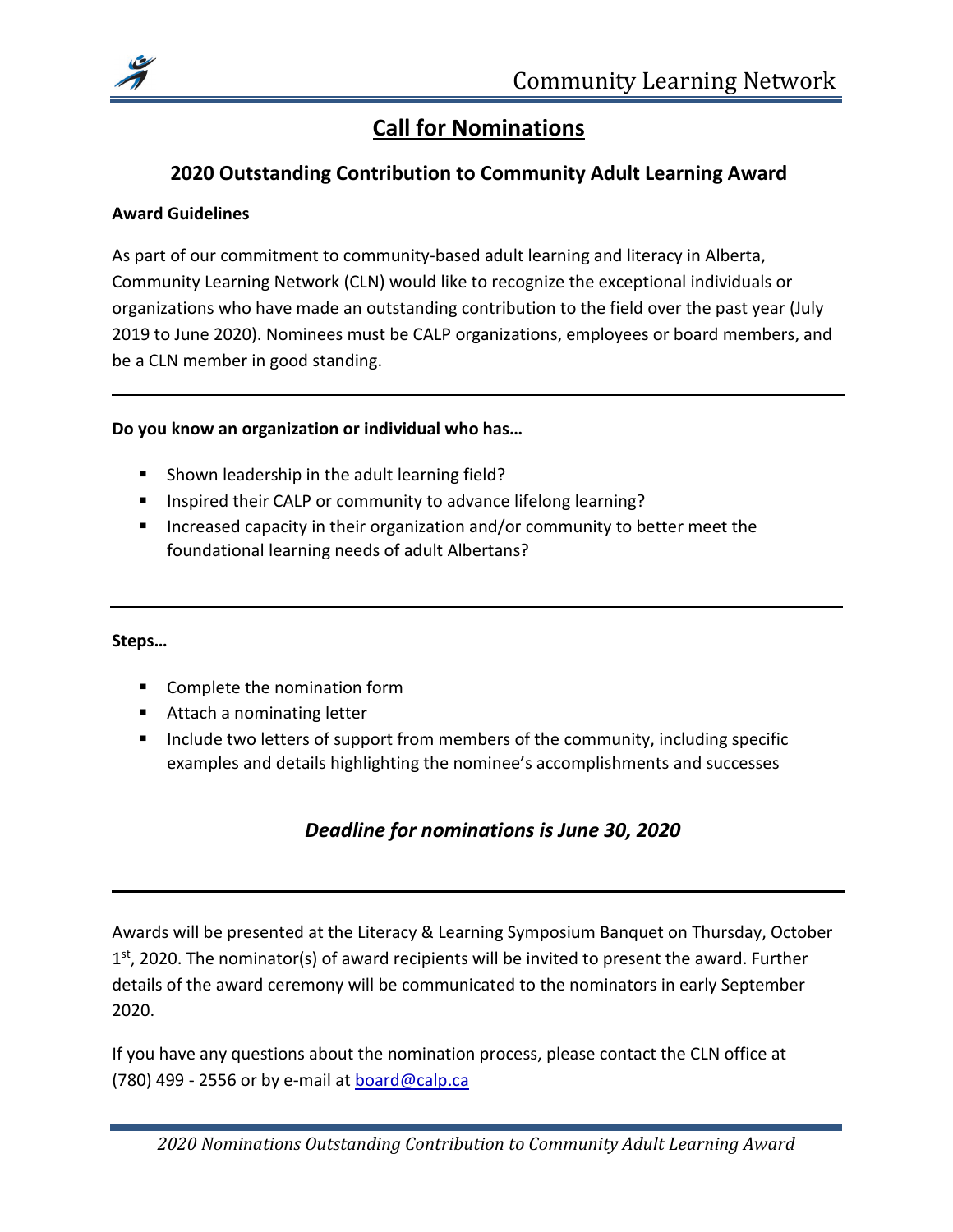

# **Call for Nominations**

## **2020 Outstanding Contribution to Community Adult Learning Award**

#### **Award Guidelines**

As part of our commitment to community-based adult learning and literacy in Alberta, Community Learning Network (CLN) would like to recognize the exceptional individuals or organizations who have made an outstanding contribution to the field over the past year (July 2019 to June 2020). Nominees must be CALP organizations, employees or board members, and be a CLN member in good standing.

#### **Do you know an organization or individual who has…**

- **Shown leadership in the adult learning field?**
- Inspired their CALP or community to advance lifelong learning?
- **Increased capacity in their organization and/or community to better meet the** foundational learning needs of adult Albertans?

#### **Steps…**

- **Complete the nomination form**
- Attach a nominating letter
- Include two letters of support from members of the community, including specific examples and details highlighting the nominee's accomplishments and successes

## *Deadline for nominations is June 30, 2020*

Awards will be presented at the Literacy & Learning Symposium Banquet on Thursday, October  $1<sup>st</sup>$ , 2020. The nominator(s) of award recipients will be invited to present the award. Further details of the award ceremony will be communicated to the nominators in early September 2020.

If you have any questions about the nomination process, please contact the CLN office at (780) 499 - 2556 or by e-mail at [board@ca](mailto:board@c)lp.ca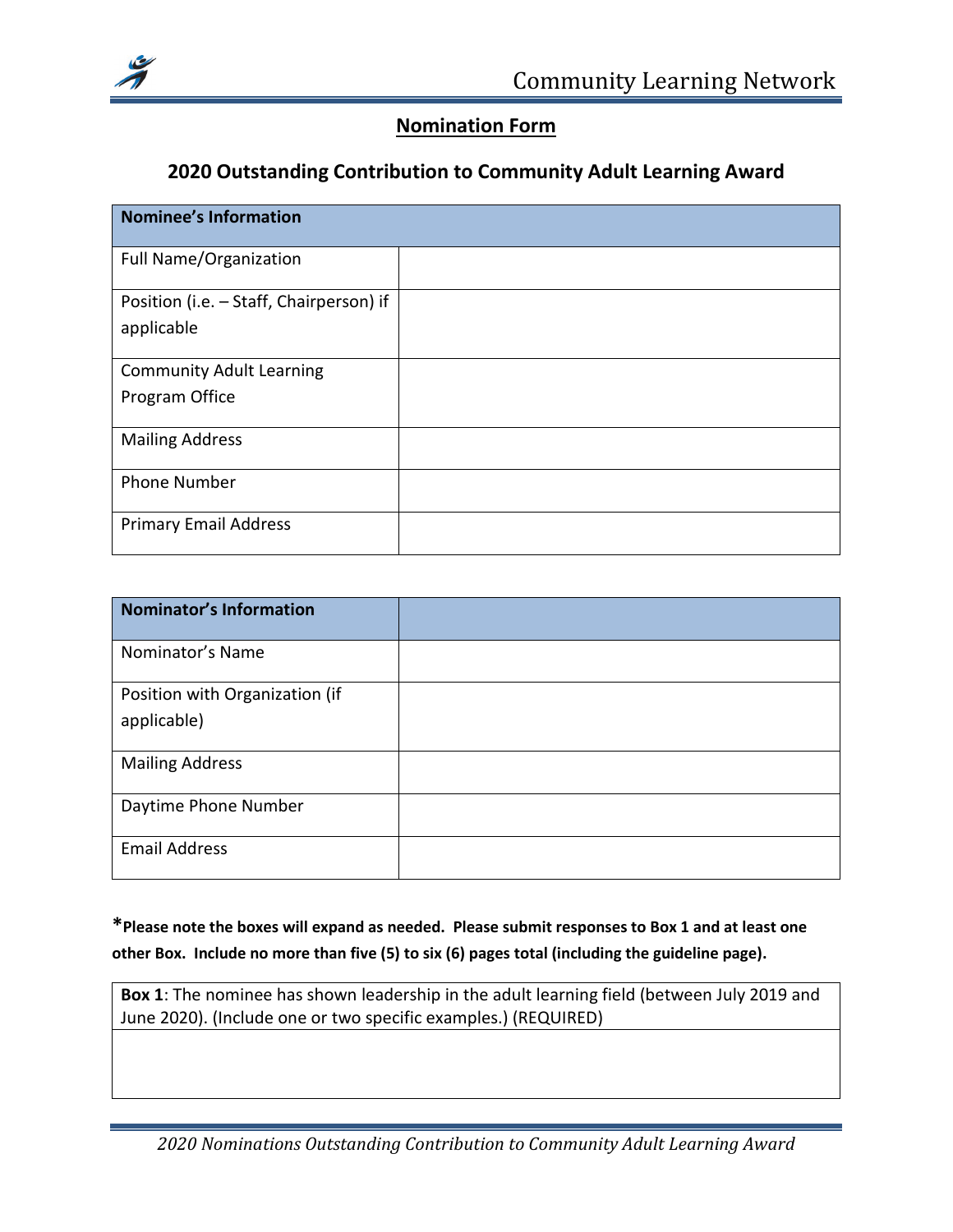

## **Nomination Form**

#### **2020 Outstanding Contribution to Community Adult Learning Award**

| <b>Nominee's Information</b>            |  |
|-----------------------------------------|--|
| <b>Full Name/Organization</b>           |  |
| Position (i.e. - Staff, Chairperson) if |  |
| applicable                              |  |
| <b>Community Adult Learning</b>         |  |
| Program Office                          |  |
| <b>Mailing Address</b>                  |  |
| <b>Phone Number</b>                     |  |
| <b>Primary Email Address</b>            |  |

| <b>Nominator's Information</b> |  |
|--------------------------------|--|
| Nominator's Name               |  |
| Position with Organization (if |  |
| applicable)                    |  |
| <b>Mailing Address</b>         |  |
| Daytime Phone Number           |  |
| <b>Email Address</b>           |  |

## **\*Please note the boxes will expand as needed. Please submit responses to Box 1 and at least one other Box. Include no more than five (5) to six (6) pages total (including the guideline page).**

**Box 1**: The nominee has shown leadership in the adult learning field (between July 2019 and June 2020). (Include one or two specific examples.) (REQUIRED)